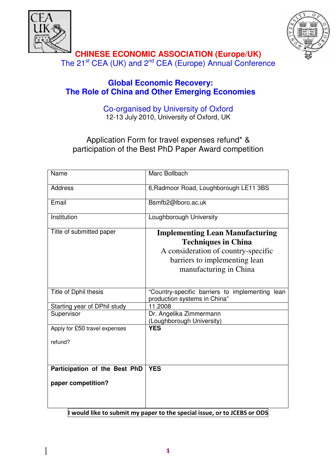



**CHINESE ECONOMIC ASSOCIATION (Europe/UK)**  The 21<sup>st</sup> CEA (UK) and 2<sup>nd</sup> CEA (Europe) Annual Conference

# **Global Economic Recovery: The Role of China and Other Emerging Economies**

Co-organised by University of Oxford 12-13 July 2010, University of Oxford, UK

Application Form for travel expenses refund\* & participation of the Best PhD Paper Award competition

| Name                                                      | Marc Bollbach                                                                                                                                                          |
|-----------------------------------------------------------|------------------------------------------------------------------------------------------------------------------------------------------------------------------------|
| <b>Address</b>                                            | 6, Radmoor Road, Loughborough LE11 3BS                                                                                                                                 |
| Email                                                     | Bsmfb2@lboro.ac.uk                                                                                                                                                     |
| Institution                                               | Loughborough University                                                                                                                                                |
| Title of submitted paper                                  | <b>Implementing Lean Manufacturing</b><br><b>Techniques in China</b><br>A consideration of country-specific<br>barriers to implementing lean<br>manufacturing in China |
| Title of Dphil thesis                                     | "Country-specific barriers to implementing lean<br>production systems in China"                                                                                        |
| Starting year of DPhil study                              | 11.2008                                                                                                                                                                |
| Supervisor                                                | Dr. Angelika Zimmermann<br>(Loughborough University)                                                                                                                   |
| Apply for £50 travel expenses                             | <b>YES</b>                                                                                                                                                             |
| refund?                                                   |                                                                                                                                                                        |
| Participation of the Best PhD                             | <b>YES</b>                                                                                                                                                             |
| paper competition?                                        |                                                                                                                                                                        |
| $\mathbf{1}$ , $\mathbf{1}$ , $\mathbf{1}$ , $\mathbf{1}$ | .<br>$\overline{ }$                                                                                                                                                    |

 $\parallel$  would like to submit my paper to the special issue, or to JCEBS or ODS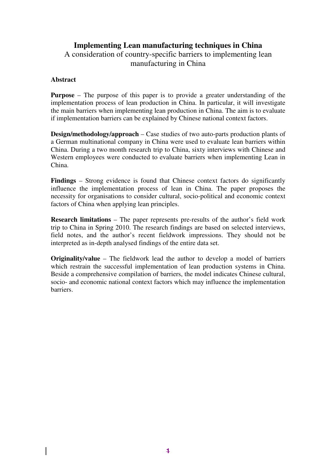# **Implementing Lean manufacturing techniques in China**

# A consideration of country-specific barriers to implementing lean manufacturing in China

### **Abstract**

**Purpose** – The purpose of this paper is to provide a greater understanding of the implementation process of lean production in China. In particular, it will investigate the main barriers when implementing lean production in China. The aim is to evaluate if implementation barriers can be explained by Chinese national context factors.

**Design/methodology/approach** – Case studies of two auto-parts production plants of a German multinational company in China were used to evaluate lean barriers within China. During a two month research trip to China, sixty interviews with Chinese and Western employees were conducted to evaluate barriers when implementing Lean in China.

**Findings** – Strong evidence is found that Chinese context factors do significantly influence the implementation process of lean in China. The paper proposes the necessity for organisations to consider cultural, socio-political and economic context factors of China when applying lean principles.

**Research limitations** – The paper represents pre-results of the author's field work trip to China in Spring 2010. The research findings are based on selected interviews, field notes, and the author's recent fieldwork impressions. They should not be interpreted as in-depth analysed findings of the entire data set.

**Originality/value** – The fieldwork lead the author to develop a model of barriers which restrain the successful implementation of lean production systems in China. Beside a comprehensive compilation of barriers, the model indicates Chinese cultural, socio- and economic national context factors which may influence the implementation barriers.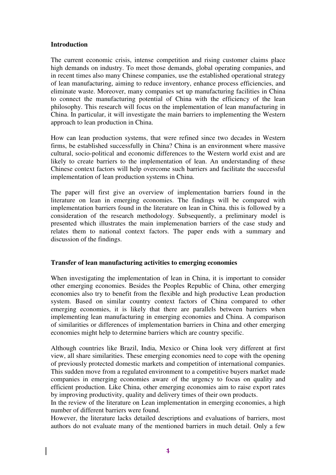### **Introduction**

The current economic crisis, intense competition and rising customer claims place high demands on industry. To meet those demands, global operating companies, and in recent times also many Chinese companies, use the established operational strategy of lean manufacturing, aiming to reduce inventory, enhance process efficiencies, and eliminate waste. Moreover, many companies set up manufacturing facilities in China to connect the manufacturing potential of China with the efficiency of the lean philosophy. This research will focus on the implementation of lean manufacturing in China. In particular, it will investigate the main barriers to implementing the Western approach to lean production in China.

How can lean production systems, that were refined since two decades in Western firms, be established successfully in China? China is an environment where massive cultural, socio-political and economic differences to the Western world exist and are likely to create barriers to the implementation of lean. An understanding of these Chinese context factors will help overcome such barriers and facilitate the successful implementation of lean production systems in China.

The paper will first give an overview of implementation barriers found in the literature on lean in emerging economies. The findings will be compared with implementation barriers found in the literature on lean in China. this is followed by a consideration of the research methodology. Subsequently, a preliminary model is presented which illustrates the main implemenation barriers of the case study and relates them to national context factors. The paper ends with a summary and discussion of the findings.

### **Transfer of lean manufacturing activities to emerging economies**

When investigating the implementation of lean in China, it is important to consider other emerging economies. Besides the Peoples Republic of China, other emerging economies also try to benefit from the flexible and high productive Lean production system. Based on similar country context factors of China compared to other emerging economies, it is likely that there are parallels between barriers when implementing lean manufacturing in emerging economies and China. A comparison of similarities or differences of implementation barriers in China and other emerging economies might help to determine barriers which are country specific.

Although countries like Brazil, India, Mexico or China look very different at first view, all share similarities. These emerging economies need to cope with the opening of previously protected domestic markets and competition of international companies. This sudden move from a regulated environment to a competitive buyers market made companies in emerging economies aware of the urgency to focus on quality and efficient production. Like China, other emerging economies aim to raise export rates by improving productivity, quality and delivery times of their own products.

In the review of the literature on Lean implementation in emerging economies, a high number of different barriers were found.

However, the literature lacks detailed descriptions and evaluations of barriers, most authors do not evaluate many of the mentioned barriers in much detail. Only a few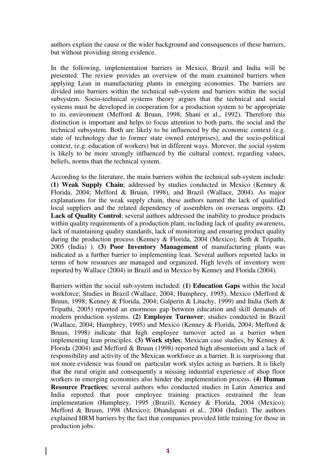authors explain the cause or the wider background and consequences of these barriers, but without providing strong evidence.

In the following, implementation barriers in Mexico, Brazil and India will be presented. The review provides an overview of the main examined barriers when applying Lean in manufacturing plants in emerging economies. The barriers are divided into barriers within the technical sub-system and barriers within the social subsystem. Socio-technical systems theory argues that the technical and social systems must be developed in cooperation for a production system to be appropriate to its environment (Mefford & Bruun, 1998; Shani et al., 1992). Therefore this distinction is important and helps to focus attention to both parts, the social and the technical subsystem. Both are likely to be influenced by the economic context (e.g. state of technology due to former state owned enterprises), and the socio-political context, (e.g. education of workers) but in different ways. Morever, the social system is likely to be more strongly influenced by the cultural context, regarding values, beliefs, norms than the technical system.

According to the literature, the main barriers within the technical sub-system include: **(1) Weak Supply Chain**; addressed by studies conducted in Mexico (Kenney & Florida, 2004; Mefford & Bruun, 1998), and Brazil (Wallace, 2004). As major explanations for the weak supply chain, these authors named the lack of qualified local suppliers and the related dependency of assemblers on overseas imports. **(2)** Lack of Quality Control; several authors addressed the inability to produce products within quality requirements of a production plant, including lack of quality awareness, lack of maintaining quality standards, lack of monitoring and ensuring product quality during the production process (Kenney & Florida, 2004 (Mexico); Seth & Tripathi, 2005 (India) ). **(3) Poor Inventory Management** of manufacturing plants was indicated as a further barrier to implementing lean. Several authors reported lacks in terms of how resources are managed and organized. High levels of inventory were reported by Wallace (2004) in Brazil and in Mexico by Kenney and Florida (2004).

Barriers within the social sub-system included: **(1) Education Gaps** within the local workforce; Studies in Brazil (Wallace, 2004; Humphrey, 1995), Mexico (Mefford & Bruun, 1998; Kenney & Florida, 2004; Galperin & Lituchy, 1999) and India (Seth & Tripathi, 2005) reported an enormous gap between education and skill demands of modern production systems. **(2) Employee Turnover**; studies conducted in Brazil (Wallace, 2004; Humphrey, 1995) and Mexico (Kenney & Florida, 2004; Mefford & Bruun, 1998) indicate that high employee turnover acted as a barrier when implementing lean principles. **(3) Work styles**; Mexican case studies, by Kenney & Florida (2004) and Mefford & Bruun (1998) reported high absenteeism and a lack of responsibility and activity of the Mexican workforce as a barrier. It is surprisiong that not more evidence was found on particular work styles acting as barriers. It is likely that the rural origin and consequently a missing industrial experience of shop floor workers in emerging economies also hinder the implementation process. **(4) Human Resource Practices**; several authors who conducted studies in Latin America and India reported that poor employee training practices restrained the lean implementation (Humphrey, 1995 (Brazil), Kenney & Florida, 2004 (Mexico); Mefford & Bruun, 1998 (Mexico); Dhandapani et al., 2004 (India)). The authors explained HRM barriers by the fact that companies provided little training for those in production jobs.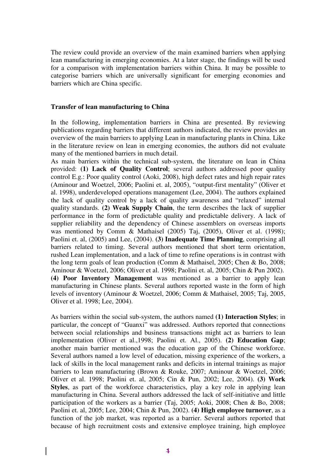The review could provide an overview of the main examined barriers when applying lean manufacturing in emerging economies. At a later stage, the findings will be used for a comparison with implementation barriers within China. It may be possible to categorise barriers which are universally significant for emerging economies and barriers which are China specific.

#### **Transfer of lean manufacturing to China**

In the following, implementation barriers in China are presented. By reviewing publications regarding barriers that different authors indicated, the review provides an overview of the main barriers to applying Lean in manufacturing plants in China. Like in the literature review on lean in emerging economies, the authors did not evaluate many of the mentioned barriers in much detail.

As main barriers within the technical sub-system, the literature on lean in China provided: **(1) Lack of Quality Control**; several authors addressed poor quality control E.g.: Poor quality control (Aoki, 2008), high defect rates and high repair rates (Aminour and Woetzel, 2006; Paolini et. al, 2005), "output-first mentality" (Oliver et al. 1998), underdeveloped operations management (Lee, 2004). The authors explained the lack of quality control by a lack of quality awareness and "relaxed" internal quality standards. **(2) Weak Supply Chain**, the term describes the lack of supplier performance in the form of predictable quality and predictable delivery. A lack of supplier reliability and the dependency of Chinese assemblers on overseas imports was mentioned by Comm & Mathaisel (2005) Taj, (2005), Oliver et al. (1998); Paolini et. al, (2005) and Lee, (2004). **(3) Inadequate Time Planning**, comprising all barriers related to timing. Several authors mentioned that short term orientation, rushed Lean implementation, and a lack of time to refine operations is in contrast with the long term goals of lean production (Comm & Mathaisel, 2005; Chen & Bo, 2008; Aminour & Woetzel, 2006; Oliver et al. 1998; Paolini et. al, 2005; Chin & Pun 2002). **(4) Poor Inventory Management** was mentioned as a barrier to apply lean manufacturing in Chinese plants. Several authors reported waste in the form of high levels of inventory (Aminour & Woetzel, 2006; Comm & Mathaisel, 2005; Taj, 2005, Oliver et al. 1998; Lee, 2004).

As barriers within the social sub-system, the authors named **(1) Interaction Styles**; in particular, the concept of "Guanxi" was addressed. Authors reported that connections between social relationships and business transactions might act as barriers to lean implementation (Oliver et al.,1998; Paolini et. Al., 2005). **(2) Education Gap**; another main barrier mentioned was the education gap of the Chinese workforce. Several authors named a low level of education, missing experience of the workers, a lack of skills in the local management ranks and deficits in internal trainings as major barriers to lean manufacturing (Brown & Rouke, 2007; Aminour & Woetzel, 2006; Oliver et al. 1998; Paolini et. al, 2005; Cin & Pun, 2002; Lee, 2004). **(3) Work Styles**, as part of the workforce characteristics, play a key role in applying lean manufacturing in China. Several authors addressed the lack of self-initiative and little participation of the workers as a barrier (Taj, 2005; Aoki, 2008; Chen & Bo, 2008; Paolini et. al, 2005; Lee, 2004; Chin & Pun, 2002). **(4) High employee turnover**, as a function of the job market, was reported as a barrier. Several authors reported that because of high recruitment costs and extensive employee training, high employee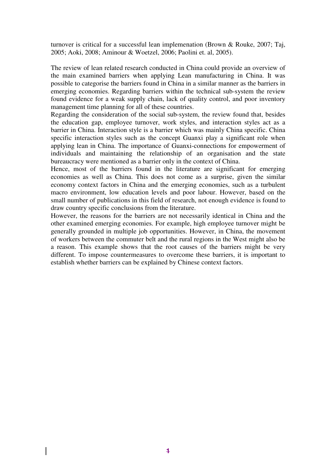turnover is critical for a successful lean implemenation (Brown & Rouke, 2007; Taj, 2005; Aoki, 2008; Aminour & Woetzel, 2006; Paolini et. al, 2005).

The review of lean related research conducted in China could provide an overview of the main examined barriers when applying Lean manufacturing in China. It was possible to categorise the barriers found in China in a similar manner as the barriers in emerging economies. Regarding barriers within the technical sub-system the review found evidence for a weak supply chain, lack of quality control, and poor inventory management time planning for all of these countries.

Regarding the consideration of the social sub-system, the review found that, besides the education gap, employee turnover, work styles, and interaction styles act as a barrier in China. Interaction style is a barrier which was mainly China specific. China specific interaction styles such as the concept Guanxi play a significant role when applying lean in China. The importance of Guanxi-connections for empowerment of individuals and maintaining the relationship of an organisation and the state bureaucracy were mentioned as a barrier only in the context of China.

Hence, most of the barriers found in the literature are significant for emerging economies as well as China. This does not come as a surprise, given the similar economy context factors in China and the emerging economies, such as a turbulent macro environment, low education levels and poor labour. However, based on the small number of publications in this field of research, not enough evidence is found to draw country specific conclusions from the literature.

However, the reasons for the barriers are not necessarily identical in China and the other examined emerging economies. For example, high employee turnover might be generally grounded in multiple job opportunities. However, in China, the movement of workers between the commuter belt and the rural regions in the West might also be a reason. This example shows that the root causes of the barriers might be very different. To impose countermeasures to overcome these barriers, it is important to establish whether barriers can be explained by Chinese context factors.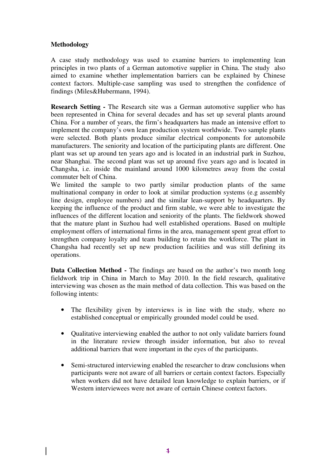## **Methodology**

A case study methodology was used to examine barriers to implementing lean principles in two plants of a German automotive supplier in China. The study also aimed to examine whether implementation barriers can be explained by Chinese context factors. Multiple-case sampling was used to strengthen the confidence of findings (Miles&Hubermann, 1994).

**Research Setting -** The Research site was a German automotive supplier who has been represented in China for several decades and has set up several plants around China. For a number of years, the firm's headquarters has made an intensive effort to implement the company's own lean production system worldwide. Two sample plants were selected. Both plants produce similar electrical components for automobile manufacturers. The seniority and location of the participating plants are different. One plant was set up around ten years ago and is located in an industrial park in Suzhou, near Shanghai. The second plant was set up around five years ago and is located in Changsha, i.e. inside the mainland around 1000 kilometres away from the costal commuter belt of China.

We limited the sample to two partly similar production plants of the same multinational company in order to look at similar production systems (e.g assembly line design, employee numbers) and the similar lean-support by headquarters. By keeping the influence of the product and firm stable, we were able to investigate the influences of the different location and seniority of the plants. The fieldwork showed that the mature plant in Suzhou had well established operations. Based on multiple employment offers of international firms in the area, management spent great effort to strengthen company loyalty and team building to retain the workforce. The plant in Changsha had recently set up new production facilities and was still defining its operations.

**Data Collection Method -** The findings are based on the author's two month long fieldwork trip in China in March to May 2010. In the field research, qualitative interviewing was chosen as the main method of data collection. This was based on the following intents:

- The flexibility given by interviews is in line with the study, where no established conceptual or empirically grounded model could be used.
- Oualitative interviewing enabled the author to not only validate barriers found in the literature review through insider information, but also to reveal additional barriers that were important in the eyes of the participants.
- Semi-structured interviewing enabled the researcher to draw conclusions when participants were not aware of all barriers or certain context factors. Especially when workers did not have detailed lean knowledge to explain barriers, or if Western interviewees were not aware of certain Chinese context factors.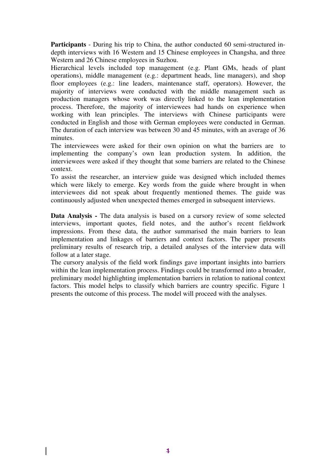**Participants** - During his trip to China, the author conducted 60 semi-structured indepth interviews with 16 Western and 15 Chinese employees in Changsha, and three Western and 26 Chinese employees in Suzhou.

Hierarchical levels included top management (e.g. Plant GMs, heads of plant operations), middle management (e.g.: department heads, line managers), and shop floor employees (e.g.: line leaders, maintenance staff, operators). However, the majority of interviews were conducted with the middle management such as production managers whose work was directly linked to the lean implementation process. Therefore, the majority of interviewees had hands on experience when working with lean principles. The interviews with Chinese participants were conducted in English and those with German employees were conducted in German. The duration of each interview was between 30 and 45 minutes, with an average of 36 minutes.

The interviewees were asked for their own opinion on what the barriers are to implementing the company's own lean production system. In addition, the interviewees were asked if they thought that some barriers are related to the Chinese context.

To assist the researcher, an interview guide was designed which included themes which were likely to emerge. Key words from the guide where brought in when interviewees did not speak about frequently mentioned themes. The guide was continuously adjusted when unexpected themes emerged in subsequent interviews.

**Data Analysis -** The data analysis is based on a cursory review of some selected interviews, important quotes, field notes, and the author's recent fieldwork impressions. From these data, the author summarised the main barriers to lean implementation and linkages of barriers and context factors. The paper presents preliminary results of research trip, a detailed analyses of the interview data will follow at a later stage.

The cursory analysis of the field work findings gave important insights into barriers within the lean implementation process. Findings could be transformed into a broader, preliminary model highlighting implementation barriers in relation to national context factors. This model helps to classify which barriers are country specific. Figure 1 presents the outcome of this process. The model will proceed with the analyses.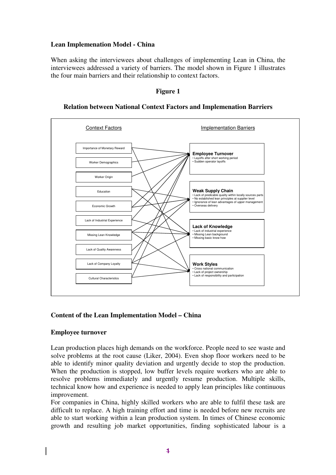## **Lean Implemenation Model - China**

When asking the interviewees about challenges of implementing Lean in China, the interviewees addressed a variety of barriers. The model shown in Figure 1 illustrates the four main barriers and their relationship to context factors.



## **Relation between National Context Factors and Implemenation Barriers**

**Figure 1** 

## **Content of the Lean Implementation Model – China**

### **Employee turnover**

Lean production places high demands on the workforce. People need to see waste and solve problems at the root cause (Liker, 2004). Even shop floor workers need to be able to identify minor quality deviation and urgently decide to stop the production. When the production is stopped, low buffer levels require workers who are able to resolve problems immediately and urgently resume production. Multiple skills, technical know how and experience is needed to apply lean principles like continuous improvement.

For companies in China, highly skilled workers who are able to fulfil these task are difficult to replace. A high training effort and time is needed before new recruits are able to start working within a lean production system. In times of Chinese economic growth and resulting job market opportunities, finding sophisticated labour is a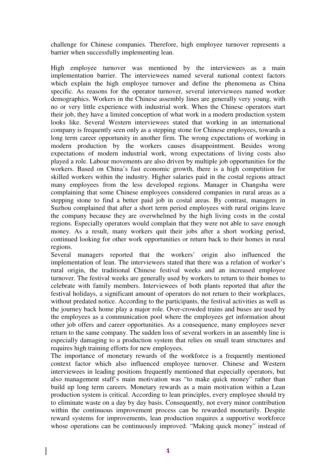challenge for Chinese companies. Therefore, high employee turnover represents a barrier when successfully implementing lean.

High employee turnover was mentioned by the interviewees as a main implementation barrier. The interviewees named several national context factors which explain the high employee turnover and define the phenomena as China specific. As reasons for the operator turnover, several interviewees named worker demographics. Workers in the Chinese assembly lines are generally very young, with no or very little experience with industrial work. When the Chinese operators start their job, they have a limited conception of what work in a modern production system looks like. Several Western interviewees stated that working in an international company is frequently seen only as a stepping stone for Chinese employees, towards a long term career opportunity in another firm. The wrong expectations of working in modern production by the workers causes disappointment. Besides wrong expectations of modern industrial work, wrong expectations of living costs also played a role. Labour movements are also driven by multiple job opportunities for the workers. Based on China's fast economic growth, there is a high competition for skilled workers within the industry. Higher salaries paid in the costal regions attract many employees from the less developed regions. Manager in Changsha were complaining that some Chinese employees considered companies in rural areas as a stepping stone to find a better paid job in costal areas. By contrast, managers in Suzhou complained that after a short term period employees with rural origins leave the company because they are overwhelmed by the high living costs in the costal regions. Especially operators would complain that they were not able to save enough money. As a result, many workers quit their jobs after a short working period, continued looking for other work opportunities or return back to their homes in rural regions.

Several managers reported that the workers' origin also influenced the implementation of lean. The interviewees stated that there was a relation of worker's rural origin, the traditional Chinese festival weeks and an increased employee turnover. The festival weeks are generally used by workers to return to their homes to celebrate with family members. Interviewees of both plants reported that after the festival holidays, a significant amount of operators do not return to their workplaces, without predated notice. According to the participants, the festival activities as well as the journey back home play a major role. Over-crowded trains and buses are used by the employees as a communication pool where the employees get information about other job offers and career opportunities. As a consequence, many employees never return to the same company. The sudden loss of several workers in an assembly line is especially damaging to a production system that relies on small team structures and requires high training efforts for new employees.

The importance of monetary rewards of the workforce is a frequently mentioned context factor which also influenced employee turnover. Chinese and Western interviewees in leading positions frequently mentioned that especially operators, but also management staff's main motivation was "to make quick money" rather than build up long term careers. Monetary rewards as a main motivation within a Lean production system is critical. According to lean principles, every employee should try to eliminate waste on a day by day basis. Consequently, not every minor contribution within the continuous improvement process can be rewarded monetarily. Despite reward systems for improvements, lean production requires a supportive workforce whose operations can be continuously improved. "Making quick money" instead of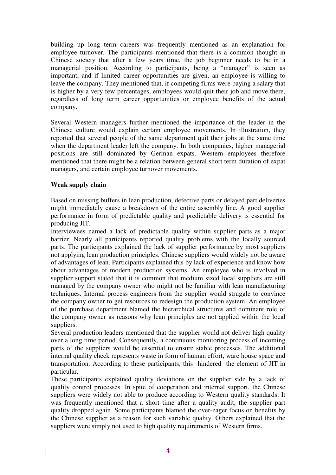building up long term careers was frequently mentioned as an explanation for employee turnover. The participants mentioned that there is a common thought in Chinese society that after a few years time, the job beginner needs to be in a managerial position. According to participants, being a "manager" is seen as important, and if limited career opportunities are given, an employee is willing to leave the company. They mentioned that, if competing firms were paying a salary that is higher by a very few percentages, employees would quit their job and move there, regardless of long term career opportunities or employee benefits of the actual company.

Several Western managers further mentioned the importance of the leader in the Chinese culture would explain certain employee movements. In illustration, they reported that several people of the same department quit their jobs at the same time when the department leader left the company. In both companies, higher managerial positions are still dominated by German expats. Western employees therefore mentioned that there might be a relation between general short term duration of expat managers, and certain employee turnover movements.

### **Weak supply chain**

Based on missing buffers in lean production, defective parts or delayed part deliveries might immediately cause a breakdown of the entire assembly line. A good supplier performance in form of predictable quality and predictable delivery is essential for producing JIT.

Interviewees named a lack of predictable quality within supplier parts as a major barrier. Nearly all participants reported quality problems with the locally sourced parts. The participants explained the lack of supplier performance by most suppliers not applying lean production principles. Chinese suppliers would widely not be aware of advantages of lean. Participants explained this by lack of experience and know how about advantages of modern production systems. An employee who is involved in supplier support stated that it is common that medium sized local suppliers are still managed by the company owner who might not be familiar with lean manufacturing techniques. Internal process engineers from the supplier would struggle to convince the company owner to get resources to redesign the production system. An employee of the purchase department blamed the hierarchical structures and dominant role of the company owner as reasons why lean principles are not applied within the local suppliers.

Several production leaders mentioned that the supplier would not deliver high quality over a long time period. Consequently, a continuous monitoring process of incoming parts of the suppliers would be essential to ensure stable processes. The additional internal quality check represents waste in form of human effort, ware house space and transportation. According to these participants, this hindered the element of JIT in particular.

These participants explained quality deviations on the supplier side by a lack of quality control processes. In spite of cooperation and internal support, the Chinese suppliers were widely not able to produce according to Western quality standards. It was frequently mentioned that a short time after a quality audit, the supplier part quality dropped again. Some participants blamed the over-eager focus on benefits by the Chinese supplier as a reason for such variable quality. Others explained that the suppliers were simply not used to high quality requirements of Western firms.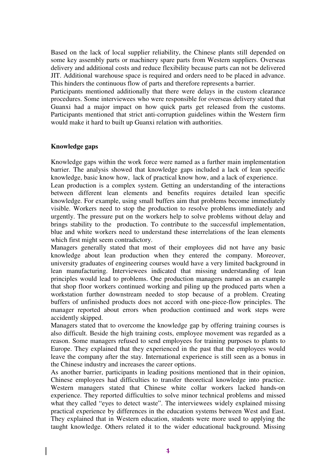Based on the lack of local supplier reliability, the Chinese plants still depended on some key assembly parts or machinery spare parts from Western suppliers. Overseas delivery and additional costs and reduce flexibility because parts can not be delivered JIT. Additional warehouse space is required and orders need to be placed in advance. This hinders the continuous flow of parts and therefore represents a barrier.

Participants mentioned additionally that there were delays in the custom clearance procedures. Some interviewees who were responsible for overseas delivery stated that Guanxi had a major impact on how quick parts get released from the customs. Participants mentioned that strict anti-corruption guidelines within the Western firm would make it hard to built up Guanxi relation with authorities.

### **Knowledge gaps**

Knowledge gaps within the work force were named as a further main implementation barrier. The analysis showed that knowledge gaps included a lack of lean specific knowledge, basic know how, lack of practical know how, and a lack of experience.

Lean production is a complex system. Getting an understanding of the interactions between different lean elements and benefits requires detailed lean specific knowledge. For example, using small buffers aim that problems become immediately visible. Workers need to stop the production to resolve problems immediately and urgently. The pressure put on the workers help to solve problems without delay and brings stability to the production. To contribute to the successful implementation, blue and white workers need to understand these interrelations of the lean elements which first might seem contradictory.

Managers generally stated that most of their employees did not have any basic knowledge about lean production when they entered the company. Moreover, university graduates of engineering courses would have a very limited background in lean manufacturing. Interviewees indicated that missing understanding of lean principles would lead to problems. One production managers named as an example that shop floor workers continued working and piling up the produced parts when a workstation further downstream needed to stop because of a problem. Creating buffers of unfinished products does not accord with one-piece-flow principles. The manager reported about errors when production continued and work steps were accidently skipped.

Managers stated that to overcome the knowledge gap by offering training courses is also difficult. Beside the high training costs, employee movement was regarded as a reason. Some managers refused to send employees for training purposes to plants to Europe. They explained that they experienced in the past that the employees would leave the company after the stay. International experience is still seen as a bonus in the Chinese industry and increases the career options.

As another barrier, participants in leading positions mentioned that in their opinion, Chinese employees had difficulties to transfer theoretical knowledge into practice. Western managers stated that Chinese white collar workers lacked hands-on experience. They reported difficulties to solve minor technical problems and missed what they called "eyes to detect waste". The interviewees widely explained missing practical experience by differences in the education systems between West and East. They explained that in Western education, students were more used to applying the taught knowledge. Others related it to the wider educational background. Missing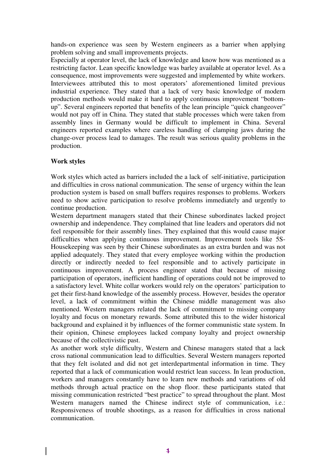hands-on experience was seen by Western engineers as a barrier when applying problem solving and small improvements projects.

Especially at operator level, the lack of knowledge and know how was mentioned as a restricting factor. Lean specific knowledge was barley available at operator level. As a consequence, most improvements were suggested and implemented by white workers. Interviewees attributed this to most operators' aforementioned limited previous industrial experience. They stated that a lack of very basic knowledge of modern production methods would make it hard to apply continuous improvement "bottomup". Several engineers reported that benefits of the lean principle "quick changeover" would not pay off in China. They stated that stable processes which were taken from assembly lines in Germany would be difficult to implement in China. Several engineers reported examples where careless handling of clamping jaws during the change-over process lead to damages. The result was serious quality problems in the production.

## **Work styles**

Work styles which acted as barriers included the a lack of self-initiative, participation and difficulties in cross national communication. The sense of urgency within the lean production system is based on small buffers requires responses to problems. Workers need to show active participation to resolve problems immediately and urgently to continue production.

Western department managers stated that their Chinese subordinates lacked project ownership and independence. They complained that line leaders and operators did not feel responsible for their assembly lines. They explained that this would cause major difficulties when applying continuous improvement. Improvement tools like 5S-Housekeeping was seen by their Chinese subordinates as an extra burden and was not applied adequately. They stated that every employee working within the production directly or indirectly needed to feel responsible and to actively participate in continuous improvement. A process engineer stated that because of missing participation of operators, inefficient handling of operations could not be improved to a satisfactory level. White collar workers would rely on the operators' participation to get their first-hand knowledge of the assembly process. However, besides the operator level, a lack of commitment within the Chinese middle management was also mentioned. Western managers related the lack of commitment to missing company loyalty and focus on monetary rewards. Some attributed this to the wider historical background and explained it by influences of the former communistic state system. In their opinion, Chinese employees lacked company loyalty and project ownership because of the collectivistic past.

As another work style difficulty, Western and Chinese managers stated that a lack cross national communication lead to difficulties. Several Western managers reported that they felt isolated and did not get interdepartmental information in time. They reported that a lack of communication would restrict lean success. In lean production, workers and managers constantly have to learn new methods and variations of old methods through actual practice on the shop floor. these participants stated that missing communication restricted "best practice" to spread throughout the plant. Most Western managers named the Chinese indirect style of communication, i.e.: Responsiveness of trouble shootings, as a reason for difficulties in cross national communication.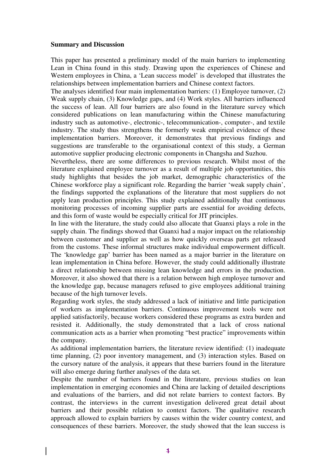#### **Summary and Discussion**

This paper has presented a preliminary model of the main barriers to implementing Lean in China found in this study. Drawing upon the experiences of Chinese and Western employees in China, a 'Lean success model' is developed that illustrates the relationships between implementation barriers and Chinese context factors.

The analyses identified four main implementation barriers: (1) Employee turnover, (2) Weak supply chain, (3) Knowledge gaps, and (4) Work styles. All barriers influenced the success of lean. All four barriers are also found in the literature survey which considered publications on lean manufacturing within the Chinese manufacturing industry such as automotive-, electronic-, telecommunication-, computer-, and textile industry. The study thus strengthens the formerly weak empirical evidence of these implementation barriers. Moreover, it demonstrates that previous findings and suggestions are transferable to the organisational context of this study, a German automotive supplier producing electronic components in Changsha and Suzhou.

Nevertheless, there are some differences to previous research. Whilst most of the literature explained employee turnover as a result of multiple job opportunities, this study highlights that besides the job market, demographic characteristics of the Chinese workforce play a significant role. Regarding the barrier 'weak supply chain', the findings supported the explanations of the literature that most suppliers do not apply lean production principles. This study explained additionally that continuous monitoring processes of incoming supplier parts are essential for avoiding defects, and this form of waste would be especially critical for JIT principles.

In line with the literature, the study could also allocate that Guanxi plays a role in the supply chain. The findings showed that Guanxi had a major impact on the relationship between customer and supplier as well as how quickly overseas parts get released from the customs. These informal structures make individual empowerment difficult. The 'knowledge gap' barrier has been named as a major barrier in the literature on lean implementation in China before. However, the study could additionally illustrate a direct relationship between missing lean knowledge and errors in the production. Moreover, it also showed that there is a relation between high employee turnover and the knowledge gap, because managers refused to give employees additional training because of the high turnover levels.

Regarding work styles, the study addressed a lack of initiative and little participation of workers as implementation barriers. Continuous improvement tools were not applied satisfactorily, because workers considered these programs as extra burden and resisted it. Additionally, the study demonstrated that a lack of cross national communication acts as a barrier when promoting "best practice" improvements within the company.

As additional implementation barriers, the literature review identified: (1) inadequate time planning, (2) poor inventory management, and (3) interaction styles. Based on the cursory nature of the analysis, it appears that these barriers found in the literature will also emerge during further analyses of the data set.

Despite the number of barriers found in the literature, previous studies on lean implementation in emerging economies and China are lacking of detailed descriptions and evaluations of the barriers, and did not relate barriers to context factors. By contrast, the interviews in the current investigation delivered great detail about barriers and their possible relation to context factors. The qualitative research approach allowed to explain barriers by causes within the wider country context, and consequences of these barriers. Moreover, the study showed that the lean success is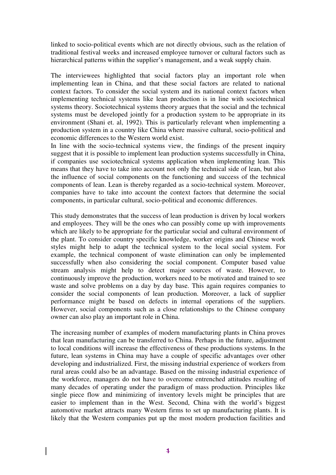linked to socio-political events which are not directly obvious, such as the relation of traditional festival weeks and increased employee turnover or cultural factors such as hierarchical patterns within the supplier's management, and a weak supply chain.

The interviewees highlighted that social factors play an important role when implementing lean in China, and that these social factors are related to national context factors. To consider the social system and its national context factors when implementing technical systems like lean production is in line with sociotechnical systems theory. Sociotechnical systems theory argues that the social and the technical systems must be developed jointly for a production system to be appropriate in its environment (Shani et. al, 1992). This is particularly relevant when implementing a production system in a country like China where massive cultural, socio-political and economic differences to the Western world exist.

In line with the socio-technical systems view, the findings of the present inquiry suggest that it is possible to implement lean production systems successfully in China, if companies use sociotechnical systems application when implementing lean. This means that they have to take into account not only the technical side of lean, but also the influence of social components on the functioning and success of the technical components of lean. Lean is thereby regarded as a socio-technical system. Moreover, companies have to take into account the context factors that determine the social components, in particular cultural, socio-political and economic differences.

This study demonstrates that the success of lean production is driven by local workers and employees. They will be the ones who can possibly come up with improvements which are likely to be appropriate for the particular social and cultural environment of the plant. To consider country specific knowledge, worker origins and Chinese work styles might help to adapt the technical system to the local social system. For example, the technical component of waste elimination can only be implemented successfully when also considering the social component. Computer based value stream analysis might help to detect major sources of waste. However, to continuously improve the production, workers need to be motivated and trained to see waste and solve problems on a day by day base. This again requires companies to consider the social components of lean production. Moreover, a lack of supplier performance might be based on defects in internal operations of the suppliers. However, social components such as a close relationships to the Chinese company owner can also play an important role in China.

The increasing number of examples of modern manufacturing plants in China proves that lean manufacturing can be transferred to China. Perhaps in the future, adjustment to local conditions will increase the effectiveness of these productions systems. In the future, lean systems in China may have a couple of specific advantages over other developing and industrialized. First, the missing industrial experience of workers from rural areas could also be an advantage. Based on the missing industrial experience of the workforce, managers do not have to overcome entrenched attitudes resulting of many decades of operating under the paradigm of mass production. Principles like single piece flow and minimizing of inventory levels might be principles that are easier to implement than in the West. Second, China with the world's biggest automotive market attracts many Western firms to set up manufacturing plants. It is likely that the Western companies put up the most modern production facilities and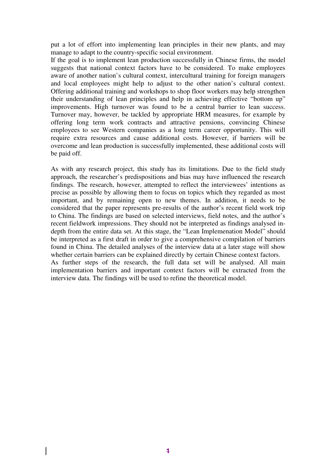put a lot of effort into implementing lean principles in their new plants, and may manage to adapt to the country-specific social environment.

If the goal is to implement lean production successfully in Chinese firms, the model suggests that national context factors have to be considered. To make employees aware of another nation's cultural context, intercultural training for foreign managers and local employees might help to adjust to the other nation's cultural context. Offering additional training and workshops to shop floor workers may help strengthen their understanding of lean principles and help in achieving effective "bottom up" improvements. High turnover was found to be a central barrier to lean success. Turnover may, however, be tackled by appropriate HRM measures, for example by offering long term work contracts and attractive pensions, convincing Chinese employees to see Western companies as a long term career opportunity. This will require extra resources and cause additional costs. However, if barriers will be overcome and lean production is successfully implemented, these additional costs will be paid off.

As with any research project, this study has its limitations. Due to the field study approach, the researcher's predispositions and bias may have influenced the research findings. The research, however, attempted to reflect the interviewees' intentions as precise as possible by allowing them to focus on topics which they regarded as most important, and by remaining open to new themes. In addition, it needs to be considered that the paper represents pre-results of the author's recent field work trip to China. The findings are based on selected interviews, field notes, and the author's recent fieldwork impressions. They should not be interpreted as findings analysed indepth from the entire data set. At this stage, the "Lean Implemenation Model" should be interpreted as a first draft in order to give a comprehensive compilation of barriers found in China. The detailed analyses of the interview data at a later stage will show whether certain barriers can be explained directly by certain Chinese context factors. As further steps of the research, the full data set will be analysed. All main implementation barriers and important context factors will be extracted from the interview data. The findings will be used to refine the theoretical model.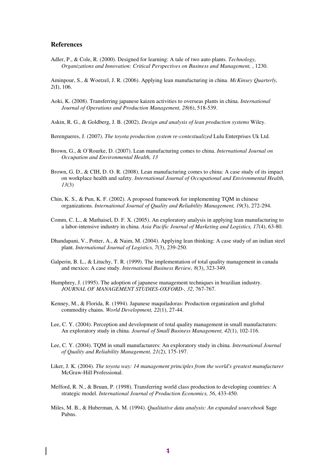#### **References**

Adler, P., & Cole, R. (2000). Designed for learning: A tale of two auto plants. *Technology, Organizations and Innovation: Critical Perspectives on Business and Management,* , 1230.

Aminpour, S., & Woetzel, J. R. (2006). Applying lean manufacturing in china. *McKinsey Quarterly, 2*(I), 106.

Aoki, K. (2008). Transferring japanese kaizen activities to overseas plants in china. *International Journal of Operations and Production Management, 28*(6), 518-539.

Askin, R. G., & Goldberg, J. B. (2002). *Design and analysis of lean production systems* Wiley.

- Berengueres, J. (2007). *The toyota production system re-contextualized* Lulu Enterprises Uk Ltd.
- Brown, G., & O'Rourke, D. (2007). Lean manufacturing comes to china. *International Journal on Occupation and Environmental Health, 13*
- Brown, G. D., & CIH, D. O. R. (2008). Lean manufacturing comes to china: A case study of its impact on workplace health and safety. *International Journal of Occupational and Environmental Health, 13*(3)
- Chin, K. S., & Pun, K. F. (2002). A proposed framework for implementing TQM in chinese organizations. *International Journal of Quality and Reliability Management, 19*(3), 272-294.
- Comm, C. L., & Mathaisel, D. F. X. (2005). An exploratory analysis in applying lean manufacturing to a labor-intensive industry in china. *Asia Pacific Journal of Marketing and Logistics, 17*(4), 63-80.
- Dhandapani, V., Potter, A., & Naim, M. (2004). Applying lean thinking: A case study of an indian steel plant. *International Journal of Logistics, 7*(3), 239-250.
- Galperin, B. L., & Lituchy, T. R. (1999). The implementation of total quality management in canada and mexico: A case study. *International Business Review, 8*(3), 323-349.
- Humphrey, J. (1995). The adoption of japanese management techniques in brazilian industry. *JOURNAL OF MANAGEMENT STUDIES-OXFORD-, 32*, 767-767.
- Kenney, M., & Florida, R. (1994). Japanese maquiladoras: Production organization and global commodity chains. *World Development, 22*(1), 27-44.
- Lee, C. Y. (2004). Perception and development of total quality management in small manufacturers: An exploratory study in china. *Journal of Small Business Management, 42*(1), 102-116.
- Lee, C. Y. (2004). TQM in small manufacturers: An exploratory study in china. *International Journal of Quality and Reliability Management, 21*(2), 175-197.
- Liker, J. K. (2004). *The toyota way: 14 management principles from the world's greatest manufacturer* McGraw-Hill Professional.
- Mefford, R. N., & Bruun, P. (1998). Transferring world class production to developing countries: A strategic model. *International Journal of Production Economics, 56*, 433-450.
- Miles, M. B., & Huberman, A. M. (1994). *Qualitative data analysis: An expanded sourcebook* Sage Pubns.